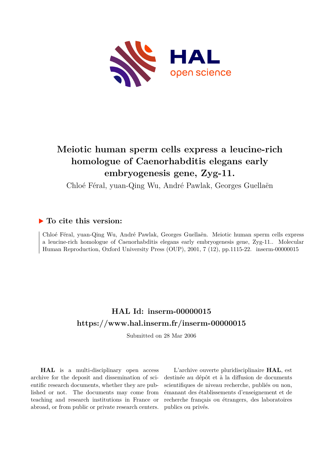

# **Meiotic human sperm cells express a leucine-rich homologue of Caenorhabditis elegans early embryogenesis gene, Zyg-11.**

Chloé Féral, yuan-Qing Wu, André Pawlak, Georges Guellaën

# **To cite this version:**

Chloé Féral, yuan-Qing Wu, André Pawlak, Georges Guellaën. Meiotic human sperm cells express a leucine-rich homologue of Caenorhabditis elegans early embryogenesis gene, Zyg-11.. Molecular Human Reproduction, Oxford University Press (OUP), 2001, 7 (12), pp.1115-22. inserm-00000015

# **HAL Id: inserm-00000015 <https://www.hal.inserm.fr/inserm-00000015>**

Submitted on 28 Mar 2006

**HAL** is a multi-disciplinary open access archive for the deposit and dissemination of scientific research documents, whether they are published or not. The documents may come from teaching and research institutions in France or abroad, or from public or private research centers.

L'archive ouverte pluridisciplinaire **HAL**, est destinée au dépôt et à la diffusion de documents scientifiques de niveau recherche, publiés ou non, émanant des établissements d'enseignement et de recherche français ou étrangers, des laboratoires publics ou privés.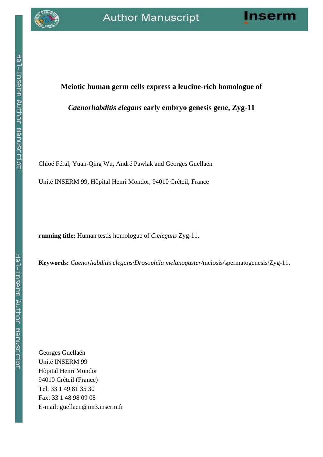**Meiotic human germ cells express a leucine-rich homologue of**

*Caenorhabditis elegans* **early embryo genesis gene, Zyg-11**



# Hal-Inserm Author manuscript

Chloé Féral, Yuan-Qing Wu, André Pawlak and Georges Guellaën

Unité INSERM 99, Hôpital Henri Mondor, 94010 Créteil, France

**running title:** Human testis homologue of *C.elegans* Zyg-11.

**Keywords:** *Caenorhabditis elegans*/*Drosophila melanogaster/*meiosis/spermatogenesis/Zyg-11.

Georges Guellaën Unité INSERM 99 Hôpital Henri Mondor 94010 Créteil (France) Tel: 33 1 49 81 35 30 Fax: 33 1 48 98 09 08 E-mail: guellaen@im3.inserm.fr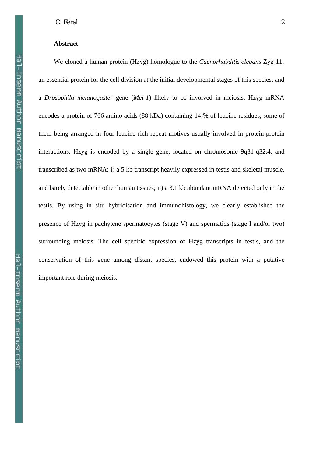# **Abstract**

We cloned a human protein (Hzyg) homologue to the *Caenorhabditis elegans* Zyg-11, an essential protein for the cell division at the initial developmental stages of this species, and a *Drosophila melanogaster* gene (*Mei-1*) likely to be involved in meiosis. Hzyg mRNA encodes a protein of 766 amino acids (88 kDa) containing 14 % of leucine residues, some of them being arranged in four leucine rich repeat motives usually involved in protein-protein interactions. Hzyg is encoded by a single gene, located on chromosome 9q31-q32.4, and transcribed as two mRNA: i) a 5 kb transcript heavily expressed in testis and skeletal muscle, and barely detectable in other human tissues; ii) a 3.1 kb abundant mRNA detected only in the testis. By using in situ hybridisation and immunohistology, we clearly established the presence of Hzyg in pachytene spermatocytes (stage V) and spermatids (stage I and/or two) surrounding meiosis. The cell specific expression of Hzyg transcripts in testis, and the conservation of this gene among distant species, endowed this protein with a putative important role during meiosis.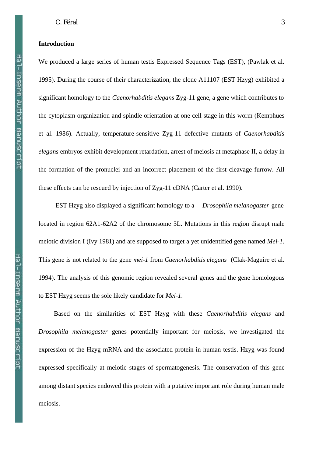# **Introduction**

We produced a large series of human testis Expressed Sequence Tags (EST), (Pawlak et al. 1995). During the course of their characterization, the clone A11107 (EST Hzyg) exhibited a significant homology to the *Caenorhabditis elegans* Zyg-11 gene, a gene which contributes to the cytoplasm organization and spindle orientation at one cell stage in this worm (Kemphues et al. 1986). Actually, temperature-sensitive Zyg-11 defective mutants of *Caenorhabditis elegans* embryos exhibit development retardation, arrest of meiosis at metaphase II, a delay in the formation of the pronuclei and an incorrect placement of the first cleavage furrow. All these effects can be rescued by injection of Zyg-11 cDNA (Carter et al. 1990).

 EST Hzyg also displayed a significant homology to a *Drosophila melanogaster* gene located in region 62A1-62A2 of the chromosome 3L. Mutations in this region disrupt male meiotic division I (Ivy 1981) and are supposed to target a yet unidentified gene named *Mei-1*. This gene is not related to the gene *mei-1* from *Caenorhabditis elegans* (Clak-Maguire et al. 1994). The analysis of this genomic region revealed several genes and the gene homologous to EST Hzyg seems the sole likely candidate for *Mei-1*.

Based on the similarities of EST Hzyg with these *Caenorhabditis elegans* and *Drosophila melanogaster* genes potentially important for meiosis, we investigated the expression of the Hzyg mRNA and the associated protein in human testis. Hzyg was found expressed specifically at meiotic stages of spermatogenesis. The conservation of this gene among distant species endowed this protein with a putative important role during human male meiosis.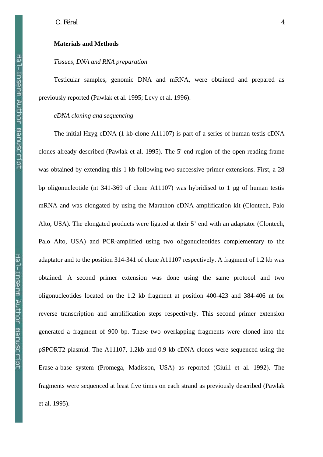# **Materials and Methods**

# *Tissues, DNA and RNA preparation*

Testicular samples, genomic DNA and mRNA, were obtained and prepared as previously reported (Pawlak et al. 1995; Levy et al. 1996).

# *cDNA cloning and sequencing*

The initial Hzyg cDNA (1 kb-clone A11107) is part of a series of human testis cDNA clones already described (Pawlak et al. 1995). The 5' end region of the open reading frame was obtained by extending this 1 kb following two successive primer extensions. First, a 28 bp oligonucleotide (nt 341-369 of clone A11107) was hybridised to 1 µg of human testis mRNA and was elongated by using the Marathon cDNA amplification kit (Clontech, Palo Alto, USA). The elongated products were ligated at their 5' end with an adaptator (Clontech, Palo Alto, USA) and PCR-amplified using two oligonucleotides complementary to the adaptator and to the position 314-341 of clone A11107 respectively. A fragment of 1.2 kb was obtained. A second primer extension was done using the same protocol and two oligonucleotides located on the 1.2 kb fragment at position 400-423 and 384-406 nt for reverse transcription and amplification steps respectively. This second primer extension generated a fragment of 900 bp. These two overlapping fragments were cloned into the pSPORT2 plasmid. The A11107, 1.2kb and 0.9 kb cDNA clones were sequenced using the Erase-a-base system (Promega, Madisson, USA) as reported (Giuili et al. 1992). The fragments were sequenced at least five times on each strand as previously described (Pawlak et al. 1995).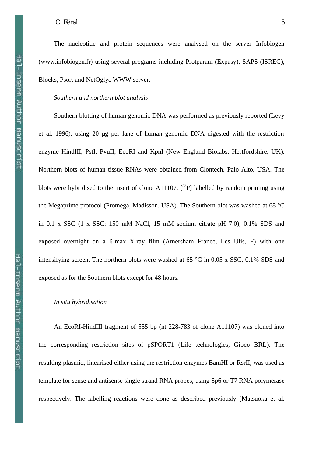The nucleotide and protein sequences were analysed on the server Infobiogen (www.infobiogen.fr) using several programs including Protparam (Expasy), SAPS (ISREC), Blocks, Psort and NetOglyc WWW server.

#### *Southern and northern blot analysis*

Southern blotting of human genomic DNA was performed as previously reported (Levy et al. 1996), using 20 µg per lane of human genomic DNA digested with the restriction enzyme HindIII, PstI, PvuII, EcoRI and KpnI (New England Biolabs, Hertfordshire, UK). Northern blots of human tissue RNAs were obtained from Clontech, Palo Alto, USA. The blots were hybridised to the insert of clone A11107,  $\binom{32}{7}$  labelled by random priming using the Megaprime protocol (Promega, Madisson, USA). The Southern blot was washed at 68 °C in 0.1 x SSC (1 x SSC: 150 mM NaCl, 15 mM sodium citrate pH 7.0), 0.1% SDS and exposed overnight on a ß-max X-ray film (Amersham France, Les Ulis, F) with one intensifying screen. The northern blots were washed at 65 °C in 0.05 x SSC, 0.1% SDS and exposed as for the Southern blots except for 48 hours.

## *In situ hybridisation*

An EcoRI-HindIII fragment of 555 bp (nt 228-783 of clone A11107) was cloned into the corresponding restriction sites of pSPORT1 (Life technologies, Gibco BRL). The resulting plasmid, linearised either using the restriction enzymes BamHI or RsrII, was used as template for sense and antisense single strand RNA probes, using Sp6 or T7 RNA polymerase respectively. The labelling reactions were done as described previously (Matsuoka et al.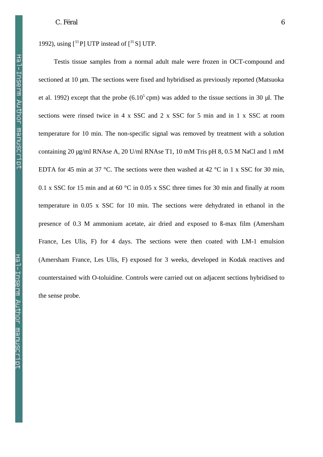1992), using  $[33P]$  UTP instead of  $[35S]$  UTP.

Testis tissue samples from a normal adult male were frozen in OCT-compound and sectioned at 10 µm. The sections were fixed and hybridised as previously reported (Matsuoka et al. 1992) except that the probe  $(6.10^5 \text{ cm})$  was added to the tissue sections in 30 µl. The sections were rinsed twice in 4 x SSC and 2 x SSC for 5 min and in 1 x SSC at room temperature for 10 min. The non-specific signal was removed by treatment with a solution containing 20 µg/ml RNAse A, 20 U/ml RNAse T1, 10 mM Tris pH 8, 0.5 M NaCl and 1 mM EDTA for 45 min at 37 °C. The sections were then washed at 42 °C in 1 x SSC for 30 min, 0.1 x SSC for 15 min and at 60 °C in 0.05 x SSC three times for 30 min and finally at room temperature in 0.05 x SSC for 10 min. The sections were dehydrated in ethanol in the presence of 0.3 M ammonium acetate, air dried and exposed to ß-max film (Amersham France, Les Ulis, F) for 4 days. The sections were then coated with LM-1 emulsion (Amersham France, Les Ulis, F) exposed for 3 weeks, developed in Kodak reactives and counterstained with O-toluidine. Controls were carried out on adjacent sections hybridised to the sense probe.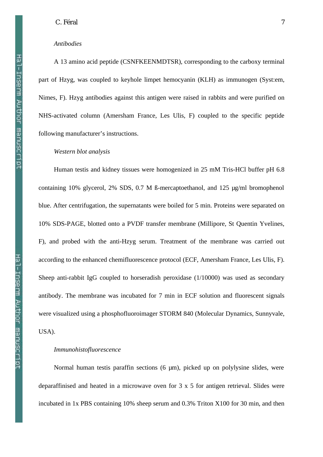# *Antibodies*

A 13 amino acid peptide (CSNFKEENMDTSR), corresponding to the carboxy terminal part of Hzyg, was coupled to keyhole limpet hemocyanin (KLH) as immunogen (Syst:em, Nimes, F). Hzyg antibodies against this antigen were raised in rabbits and were purified on NHS-activated column (Amersham France, Les Ulis, F) coupled to the specific peptide following manufacturer's instructions.

# *Western blot analysis*

Human testis and kidney tissues were homogenized in 25 mM Tris-HCl buffer pH 6.8 containing 10% glycerol, 2% SDS, 0.7 M ß-mercaptoethanol, and 125 µg/ml bromophenol blue. After centrifugation, the supernatants were boiled for 5 min. Proteins were separated on 10% SDS-PAGE, blotted onto a PVDF transfer membrane (Millipore, St Quentin Yvelines, F), and probed with the anti-Hzyg serum. Treatment of the membrane was carried out according to the enhanced chemifluorescence protocol (ECF, Amersham France, Les Ulis, F). Sheep anti-rabbit IgG coupled to horseradish peroxidase (1/10000) was used as secondary antibody. The membrane was incubated for 7 min in ECF solution and fluorescent signals were visualized using a phosphofluoroimager STORM 840 (Molecular Dynamics, Sunnyvale, USA).

# *Immunohistofluorescence*

Normal human testis paraffin sections (6 µm), picked up on polylysine slides, were deparaffinised and heated in a microwave oven for 3 x 5 for antigen retrieval. Slides were incubated in 1x PBS containing 10% sheep serum and 0.3% Triton X100 for 30 min, and then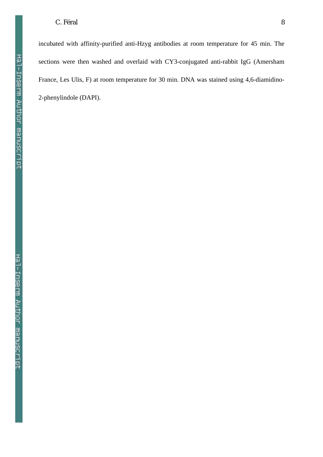incubated with affinity-purified anti-Hzyg antibodies at room temperature for 45 min. The sections were then washed and overlaid with CY3-conjugated anti-rabbit IgG (Amersham France, Les Ulis, F) at room temperature for 30 min. DNA was stained using 4,6-diamidino-2-phenylindole (DAPI).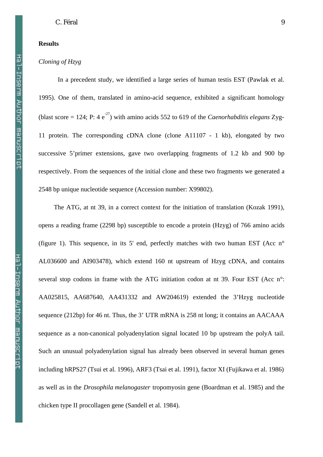# **Results**

# *Cloning of Hzyg*

In a precedent study, we identified a large series of human testis EST (Pawlak et al. 1995). One of them, translated in amino-acid sequence, exhibited a significant homology (blast score  $= 124$ ; P: 4 e<sup>-27</sup>) with amino acids 552 to 619 of the *Caenorhabditis elegans* Zyg-11 protein. The corresponding cDNA clone (clone A11107 - 1 kb), elongated by two successive 5'primer extensions, gave two overlapping fragments of 1.2 kb and 900 bp respectively. From the sequences of the initial clone and these two fragments we generated a 2548 bp unique nucleotide sequence (Accession number: X99802).

The ATG, at nt 39, in a correct context for the initiation of translation (Kozak 1991), opens a reading frame (2298 bp) susceptible to encode a protein (Hzyg) of 766 amino acids (figure 1). This sequence, in its 5' end, perfectly matches with two human EST (Acc  $n^{\circ}$ AL036600 and AI903478), which extend 160 nt upstream of Hzyg cDNA, and contains several stop codons in frame with the ATG initiation codon at nt 39. Four EST (Acc n°: AA025815, AA687640, AA431332 and AW204619) extended the 3'Hzyg nucleotide sequence (212bp) for 46 nt. Thus, the 3' UTR mRNA is 258 nt long; it contains an AACAAA sequence as a non-canonical polyadenylation signal located 10 bp upstream the polyA tail. Such an unusual polyadenylation signal has already been observed in several human genes including hRPS27 (Tsui et al. 1996), ARF3 (Tsai et al. 1991), factor XI (Fujikawa et al. 1986) as well as in the *Drosophila melanogaster* tropomyosin gene (Boardman et al. 1985) and the chicken type II procollagen gene (Sandell et al. 1984).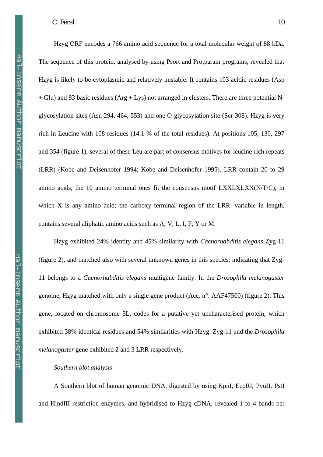Hal-Inserm Author manuscript

Hzyg ORF encodes a 766 amino acid sequence for a total molecular weight of 88 kDa. The sequence of this protein, analysed by using Psort and Protparam programs, revealed that Hzyg is likely to be cytoplasmic and relatively unstable. It contains 103 acidic residues (Asp + Glu) and 83 basic residues (Arg + Lys) not arranged in clusters. There are three potential Nglycosylation sites (Asn 294, 464, 553) and one O-glycosylation site (Ser 308). Hzyg is very rich in Leucine with 108 residues (14.1 % of the total residues). At positions 105, 130, 297 and 354 (figure 1), several of these Leu are part of consensus motives for leucine-rich repeats (LRR) (Kobe and Deisenhofer 1994; Kobe and Deisenhofer 1995). LRR contain 20 to 29 amino acids; the 10 amino terminal ones fit the consensus motif LXXLXLXX(N/T/C), in which X is any amino acid; the carboxy terminal region of the LRR, variable in length, contains several aliphatic amino acids such as A, V, L, I, F, Y or M.

Hzyg exhibited 24% identity and 45% similarity with *Caenorhabditis elegans* Zyg-11 (figure 2), and matched also with several unknown genes in this species, indicating that Zyg-11 belongs to a *Caenorhabditis elegans* multigene family. In the *Drosophila melanogaster* genome, Hzyg matched with only a single gene product (Acc. n°: AAF47500) (figure 2). This gene, located on chromosome 3L, codes for a putative yet uncharacterised protein, which exhibited 38% identical residues and 54% similarities with Hzyg. Zyg-11 and the *Drosophila melanogaster* gene exhibited 2 and 3 LRR respectively.

# *Southern blot analysis*

A Southern blot of human genomic DNA, digested by using KpnI, EcoRI, PvuII, PstI and HindIII restriction enzymes, and hybridised to Hzyg cDNA, revealed 1 to 4 bands per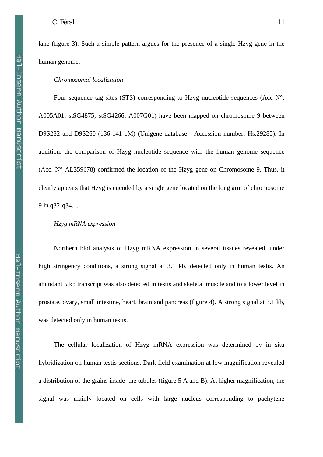Hal-Inserm Author manuscript

lane (figure 3). Such a simple pattern argues for the presence of a single Hzyg gene in the human genome.

#### *Chromosomal localization*

Four sequence tag sites (STS) corresponding to Hzyg nucleotide sequences (Acc  $N^{\circ}$ : A005A01; stSG4875; stSG4266; A007G01) have been mapped on chromosome 9 between D9S282 and D9S260 (136-141 cM) (Unigene database - Accession number: Hs.29285). In addition, the comparison of Hzyg nucleotide sequence with the human genome sequence (Acc.  $N^{\circ}$  AL359678) confirmed the location of the Hzyg gene on Chromosome 9. Thus, it clearly appears that Hzyg is encoded by a single gene located on the long arm of chromosome 9 in q32-q34.1.

## *Hzyg mRNA expression*

Northern blot analysis of Hzyg mRNA expression in several tissues revealed, under high stringency conditions, a strong signal at 3.1 kb, detected only in human testis. An abundant 5 kb transcript was also detected in testis and skeletal muscle and to a lower level in prostate, ovary, small intestine, heart, brain and pancreas (figure 4). A strong signal at 3.1 kb, was detected only in human testis.

The cellular localization of Hzyg mRNA expression was determined by in situ hybridization on human testis sections. Dark field examination at low magnification revealed a distribution of the grains inside the tubules (figure 5 A and B). At higher magnification, the signal was mainly located on cells with large nucleus corresponding to pachytene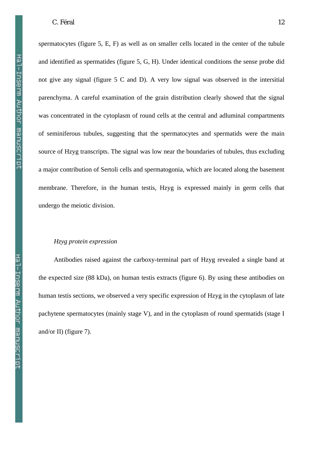spermatocytes (figure 5, E, F) as well as on smaller cells located in the center of the tubule and identified as spermatides (figure 5, G, H). Under identical conditions the sense probe did not give any signal (figure 5 C and D). A very low signal was observed in the intersitial parenchyma. A careful examination of the grain distribution clearly showed that the signal was concentrated in the cytoplasm of round cells at the central and adluminal compartments of seminiferous tubules, suggesting that the spermatocytes and spermatids were the main source of Hzyg transcripts. The signal was low near the boundaries of tubules, thus excluding a major contribution of Sertoli cells and spermatogonia, which are located along the basement membrane. Therefore, in the human testis, Hzyg is expressed mainly in germ cells that undergo the meiotic division.

# *Hzyg protein expression*

Antibodies raised against the carboxy-terminal part of Hzyg revealed a single band at the expected size (88 kDa), on human testis extracts (figure 6). By using these antibodies on human testis sections, we observed a very specific expression of Hzyg in the cytoplasm of late pachytene spermatocytes (mainly stage V), and in the cytoplasm of round spermatids (stage I and/or II) (figure 7).

Hal-Inserm Author manuscript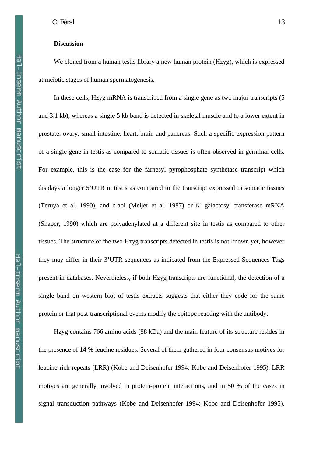# **Discussion**

We cloned from a human testis library a new human protein (Hzyg), which is expressed at meiotic stages of human spermatogenesis.

In these cells, Hzyg mRNA is transcribed from a single gene as two major transcripts (5 and 3.1 kb), whereas a single 5 kb band is detected in skeletal muscle and to a lower extent in prostate, ovary, small intestine, heart, brain and pancreas. Such a specific expression pattern of a single gene in testis as compared to somatic tissues is often observed in germinal cells. For example, this is the case for the farnesyl pyrophosphate synthetase transcript which displays a longer 5'UTR in testis as compared to the transcript expressed in somatic tissues (Teruya et al. 1990), and c-abl (Meijer et al. 1987) or ß1-galactosyl transferase mRNA (Shaper, 1990) which are polyadenylated at a different site in testis as compared to other tissues. The structure of the two Hzyg transcripts detected in testis is not known yet, however they may differ in their 3'UTR sequences as indicated from the Expressed Sequences Tags present in databases. Nevertheless, if both Hzyg transcripts are functional, the detection of a single band on western blot of testis extracts suggests that either they code for the same protein or that post-transcriptional events modify the epitope reacting with the antibody.

Hzyg contains 766 amino acids (88 kDa) and the main feature of its structure resides in the presence of 14 % leucine residues. Several of them gathered in four consensus motives for leucine-rich repeats (LRR) (Kobe and Deisenhofer 1994; Kobe and Deisenhofer 1995). LRR motives are generally involved in protein-protein interactions, and in 50 % of the cases in signal transduction pathways (Kobe and Deisenhofer 1994; Kobe and Deisenhofer 1995).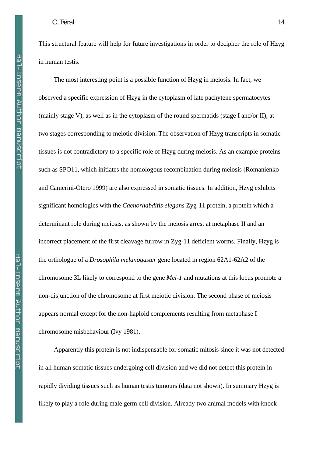Hal-Inserm Author manuscript

This structural feature will help for future investigations in order to decipher the role of Hzyg in human testis.

The most interesting point is a possible function of Hzyg in meiosis. In fact, we observed a specific expression of Hzyg in the cytoplasm of late pachytene spermatocytes (mainly stage V), as well as in the cytoplasm of the round spermatids (stage I and/or II), at two stages corresponding to meiotic division. The observation of Hzyg transcripts in somatic tissues is not contradictory to a specific role of Hzyg during meiosis. As an example proteins such as SPO11, which initiates the homologous recombination during meiosis (Romanienko and Camerini-Otero 1999) are also expressed in somatic tissues. In addition, Hzyg exhibits significant homologies with the *Caenorhabditis elegans* Zyg-11 protein, a protein which a determinant role during meiosis, as shown by the meiosis arrest at metaphase II and an incorrect placement of the first cleavage furrow in Zyg-11 deficient worms. Finally, Hzyg is the orthologue of a *Drosophila melanogaster* gene located in region 62A1-62A2 of the chromosome 3L likely to correspond to the gene *Mei-1* and mutations at this locus promote a non-disjunction of the chromosome at first meiotic division. The second phase of meiosis appears normal except for the non-haploid complements resulting from metaphase I chromosome misbehaviour (Ivy 1981).

Apparently this protein is not indispensable for somatic mitosis since it was not detected in all human somatic tissues undergoing cell division and we did not detect this protein in rapidly dividing tissues such as human testis tumours (data not shown). In summary Hzyg is likely to play a role during male germ cell division. Already two animal models with knock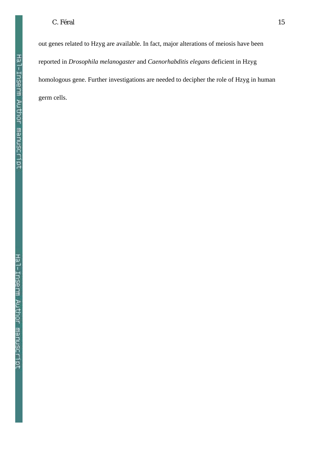out genes related to Hzyg are available. In fact, major alterations of meiosis have been reported in *Drosophila melanogaster* and *Caenorhabditis elegans* deficient in Hzyg homologous gene. Further investigations are needed to decipher the role of Hzyg in human germ cells.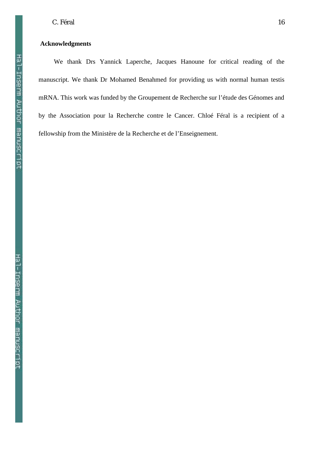Hal-Inserm Author manuscript

# **Acknowledgments**

We thank Drs Yannick Laperche, Jacques Hanoune for critical reading of the manuscript. We thank Dr Mohamed Benahmed for providing us with normal human testis mRNA. This work was funded by the Groupement de Recherche sur l'étude des Génomes and by the Association pour la Recherche contre le Cancer. Chloé Féral is a recipient of a fellowship from the Ministère de la Recherche et de l'Enseignement.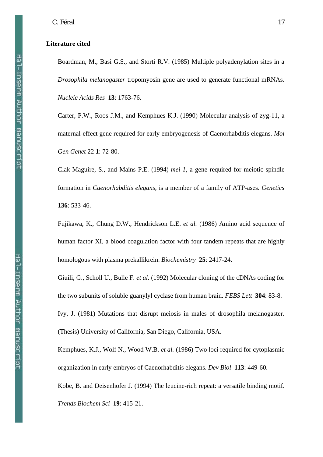#### **Literature cited**

Boardman, M., Basi G.S., and Storti R.V. (1985) Multiple polyadenylation sites in a *Drosophila melanogaster* tropomyosin gene are used to generate functional mRNAs. *Nucleic Acids Res* **13**: 1763-76.

Carter, P.W., Roos J.M., and Kemphues K.J. (1990) Molecular analysis of zyg-11, a maternal-effect gene required for early embryogenesis of Caenorhabditis elegans. *Mol Gen Genet* 22 **1**: 72-80.

Clak-Maguire, S., and Mains P.E. (1994) *mei-1*, a gene required for meiotic spindle formation in *Caenorhabditis elegans,* is a member of a family of ATP-ases. *Genetics* **136**: 533-46.

Fujikawa, K., Chung D.W., Hendrickson L.E. *et al.* (1986) Amino acid sequence of human factor XI, a blood coagulation factor with four tandem repeats that are highly homologous with plasma prekallikrein. *Biochemistry* **25**: 2417-24.

Giuili, G., Scholl U., Bulle F. *et al.* (1992) Molecular cloning of the cDNAs coding for the two subunits of soluble guanylyl cyclase from human brain. *FEBS Lett* **304**: 83-8.

Ivy, J. (1981) Mutations that disrupt meiosis in males of drosophila melanogaster. (Thesis) University of California, San Diego, California, USA.

Kemphues, K.J., Wolf N., Wood W.B. *et al.* (1986) Two loci required for cytoplasmic organization in early embryos of Caenorhabditis elegans. *Dev Biol* **113**: 449-60. Kobe, B. and Deisenhofer J. (1994) The leucine-rich repeat: a versatile binding motif. *Trends Biochem Sci* **19**: 415-21.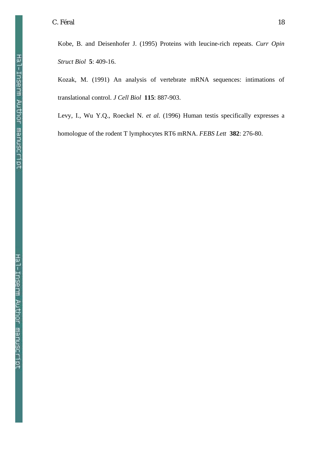Kobe, B. and Deisenhofer J. (1995) Proteins with leucine-rich repeats. *Curr Opin Struct Biol* **5**: 409-16.

Kozak, M. (1991) An analysis of vertebrate mRNA sequences: intimations of translational control. *J Cell Biol* **115**: 887-903.

Levy, I., Wu Y.Q., Roeckel N. *et al.* (1996) Human testis specifically expresses a homologue of the rodent T lymphocytes RT6 mRNA. *FEBS Lett* **382**: 276-80.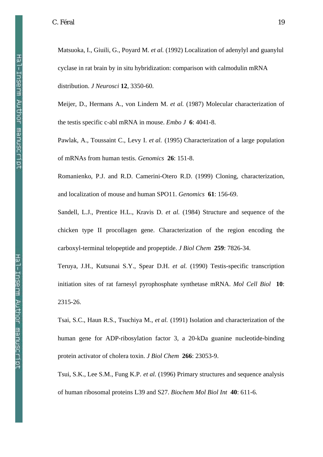Matsuoka, I., Giuili, G., Poyard M. *et al.* (1992) Localization of adenylyl and guanylul cyclase in rat brain by in situ hybridization: comparison with calmodulin mRNA distribution. *J Neurosci* **12**, 3350-60.

Meijer, D., Hermans A., von Lindern M. *et al.* (1987) Molecular characterization of the testis specific c-abl mRNA in mouse. *Embo J* **6**: 4041-8.

Pawlak, A., Toussaint C., Levy I. *et al.* (1995) Characterization of a large population of mRNAs from human testis. *Genomics* **26**: 151-8.

Romanienko, P.J. and R.D. Camerini-Otero R.D. (1999) Cloning, characterization, and localization of mouse and human SPO11. *Genomics* **61**: 156-69.

Sandell, L.J., Prentice H.L., Kravis D. *et al.* (1984) Structure and sequence of the chicken type II procollagen gene. Characterization of the region encoding the carboxyl-terminal telopeptide and propeptide. *J Biol Chem* **259**: 7826-34.

Teruya, J.H., Kutsunai S.Y., Spear D.H. *et al.* (1990) Testis-specific transcription initiation sites of rat farnesyl pyrophosphate synthetase mRNA. *Mol Cell Biol* **10**: 2315-26.

Tsai, S.C., Haun R.S., Tsuchiya M., *et al.* (1991) Isolation and characterization of the human gene for ADP-ribosylation factor 3, a 20-kDa guanine nucleotide-binding protein activator of cholera toxin. *J Biol Chem* **266**: 23053-9.

Tsui, S.K., Lee S.M., Fung K.P. *et al.* (1996) Primary structures and sequence analysis of human ribosomal proteins L39 and S27. *Biochem Mol Biol Int* **40**: 611-6.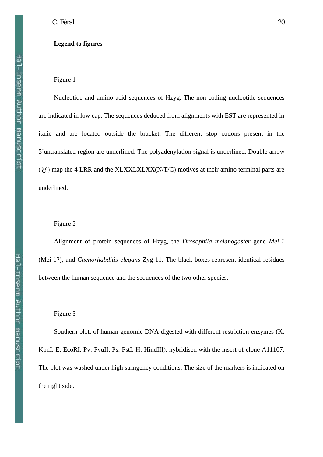# **Legend to figures**

### Figure 1

Nucleotide and amino acid sequences of Hzyg. The non-coding nucleotide sequences are indicated in low cap. The sequences deduced from alignments with EST are represented in italic and are located outside the bracket. The different stop codons present in the 5'untranslated region are underlined. The polyadenylation signal is underlined. Double arrow  $(\check{\zeta})$  map the 4 LRR and the XLXXLXLXX(N/T/C) motives at their amino terminal parts are underlined.

# Figure 2

Alignment of protein sequences of Hzyg, the *Drosophila melanogaster* gene *Mei-1* (Mei-1?), and *Caenorhabditis elegans* Zyg-11. The black boxes represent identical residues between the human sequence and the sequences of the two other species.

Figure 3

Southern blot, of human genomic DNA digested with different restriction enzymes (K: KpnI, E: EcoRI, Pv: PvuII, Ps: PstI, H: HindIII), hybridised with the insert of clone A11107. The blot was washed under high stringency conditions. The size of the markers is indicated on the right side.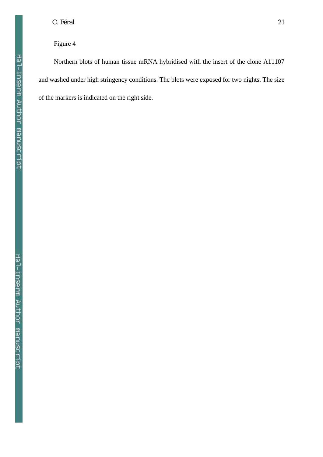# Figure 4

Northern blots of human tissue mRNA hybridised with the insert of the clone A11107 and washed under high stringency conditions. The blots were exposed for two nights. The size of the markers is indicated on the right side.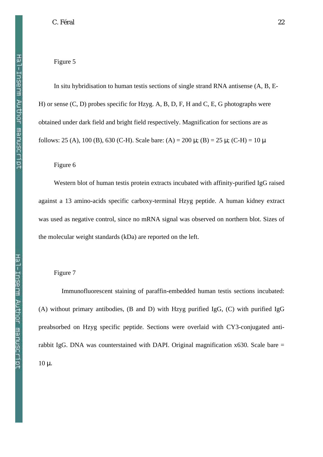Hal-Inserm Author manuscript

# Figure 5

In situ hybridisation to human testis sections of single strand RNA antisense (A, B, E-H) or sense (C, D) probes specific for Hzyg. A, B, D, F, H and C, E, G photographs were obtained under dark field and bright field respectively. Magnification for sections are as follows: 25 (A), 100 (B), 630 (C-H). Scale bare: (A) = 200 μ; (B) = 25 μ; (C-H) = 10 μ

# Figure 6

Western blot of human testis protein extracts incubated with affinity-purified IgG raised against a 13 amino-acids specific carboxy-terminal Hzyg peptide. A human kidney extract was used as negative control, since no mRNA signal was observed on northern blot. Sizes of the molecular weight standards (kDa) are reported on the left.

# Figure 7

Immunofluorescent staining of paraffin-embedded human testis sections incubated: (A) without primary antibodies, (B and D) with Hzyg purified IgG, (C) with purified IgG preabsorbed on Hzyg specific peptide. Sections were overlaid with CY3-conjugated antirabbit IgG. DNA was counterstained with DAPI. Original magnification  $x630$ . Scale bare = 10 μ.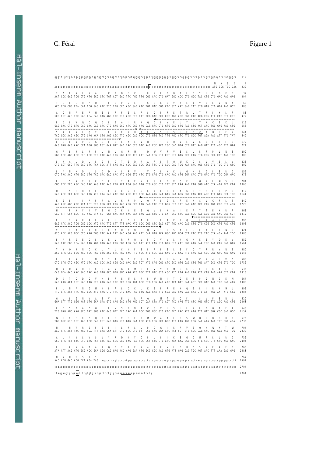| gggtttgt <u>tga</u> cagcggaggcggcggcggctgcaaggctccgagccg <u>tag</u> gagccggatcggggggaggggcccgggcccaggagcctcagccccgccggcagccc <u>taagg</u> gca                                                                                                                            | 112         |  |  |  |  |  |  |
|--------------------------------------------------------------------------------------------------------------------------------------------------------------------------------------------------------------------------------------------------------------------------|-------------|--|--|--|--|--|--|
| Aggcagtggctctgccaatgatcctgtgagtattcaggaatcactgttgcccctggggatccttgtcctggagtggcccacctgcttgcccccagc ATG GCG TCC GAC                                                                                                                                                         | 220         |  |  |  |  |  |  |
| L C T D F<br>C L R N L D G T L G<br>Y<br>s<br>L.<br>M A<br>Т.<br>Ι.<br>ACT CCC GAG TCG CTG ATG GCC CTC TGT ACT GAC TTC TGC TTG CGC AAC CTG GAT GGC ACC CTG GGC TAC CTG CTG GAC AAG GAG                                                                                   | 32<br>304   |  |  |  |  |  |  |
| Е<br>$I \quad C$<br>$\mathbf{R}$<br>Е<br>$\mathbf{H}$<br>$P$ D<br>F.<br>L<br>$\mathbf{P}$<br>S<br>D<br>L.<br>V<br>N<br>Y<br>V<br>E<br>- 1<br>ACC CTG CGG CTA CAT CCG GAC ATC TTC TTG CCC AGC GAG ATC TGT GAC CGG CTC GTC AAT GAG TAT GTG GAG CTG GTG AAC GCT             | 60<br>388   |  |  |  |  |  |  |
| S<br>E<br>$\mathbf{P}$<br>Н<br>Е<br>s<br>F<br>F.<br>s<br>L<br>$\mathbf{F}$<br>D<br>P<br>R<br>S.<br>Т<br>R<br>т<br>R<br>L<br>GCC TGT AAC TTC GAG CCA CAC GAG AGC TTC TTC AGC CTC TTT TCG GAC CCC CGC AGC ACC CGC CTC ACG CGG ATC CAC CTC CGT                              | 88<br>472   |  |  |  |  |  |  |
| $\mathbf Q$<br>$\mathbf{Q}$<br>DLEAIRKQ<br>ᅩ<br>$\mathbf{v}$<br>$_{\rm E}$<br>D<br>$\mathbf{D}$<br>GAG GAC CTG GTG CAG GAC CAG GAC CTG GAG GCC ATC CGC AAG CAG GAC CTG GTG GAG CTG TAC CTG ACT AAC TGC GAG AAG CTG                                                       | 116<br>556  |  |  |  |  |  |  |
| т<br>R<br>$S$ F<br>S<br>T<br>L<br>L<br>Н<br>$\mathbf{r}$<br>$\mathbf v$<br>-S.<br>┸<br>-S.<br>F<br>G<br>TCC GCC AAG AGC CTG CAG ACA CTG AGG AGC TTC AGC CAC ACC CTG GTG TCC TTG AGC CTC TTC GGC TGT ACA AAC ATT TTC TAT                                                  | 144<br>640  |  |  |  |  |  |  |
| Е<br>Y L V N P T C<br>Q<br>с<br>V<br>L<br>V<br>K<br>E<br>GAG GAG GAG AAC CCA GGG GGC TGT GAA GAT GAG TAC CTC GTC AAC CCC ACC TGC CAG GTG CTG GTT AAG GAT TTC ACC TTC GAG                                                                                                 | 172<br>724  |  |  |  |  |  |  |
| F<br>N<br>L G<br>R<br>M<br>$\mathbf{I}$<br>D<br>W<br>V<br>P<br>V<br>Е<br>S.<br><b>I.</b><br>R<br>L<br>R<br>L<br>Ι.<br>GGC TTC AGC CGC CTC CGC TTC CTC AAC TTG GGC CGC ATG ATT GAT TGG GTC CCT GTG GAG TCC CTG CTG CGG CCG CTT AAC TCC                                    | 200<br>808  |  |  |  |  |  |  |
| Q<br>s<br>G<br>$\mathbf{I}$<br>Q<br>T<br>- S<br>$\mathbf{D}$<br>A<br>$F$ L<br>T<br>W<br>K<br>D<br>S.<br>- L<br>A<br>CTG GCT GCC TTG GAC CTC TCA GGC ATT CAG ACG AGC GAC GCC GCC TTC CTC ACC CAG TGG AAA GAC AGC CTG GTG TCC CTC GTC                                      | 228<br>892  |  |  |  |  |  |  |
| s<br>D<br>D<br>H<br>$\mathbf{I}$<br>R<br>$\mathbf{V}$<br>$\mathbf{I}$<br>V<br>Q<br>L<br>$\mathbf{H}$<br>K<br>G<br>Н<br>Ð<br>D<br><b>I.</b><br>L<br>Т.<br>CTC TAC AAC ATG GAC CTG TCC GAC GAC CAC ATC CGG GTC ATC GTG CAG CTG CAC AAG CTG GGA CAC CTG GAC ATC TCC CGA GAC | 256<br>976  |  |  |  |  |  |  |
| E<br>V L S L F V Q<br>Y<br>Y<br>K<br>F<br>K<br>L.<br>T<br>R<br>К<br><b>I</b> .<br>CGC CTC TCC AGC TAC TAC AAG TTC AAG CTG ACT CGG GAG GTG CTG AGC CTC TTT GTG CAG AAG CTG GGG AAC CTA ATG TCC CTG                                                                        | 284<br>1060 |  |  |  |  |  |  |
| Е<br>N<br>C<br>S<br>I S<br>K M E<br>E<br>E<br>G<br>$\bf{Q}$<br>T<br>s<br>E<br>Н<br>M<br>$\mathbf{I}$<br>L<br>A<br>GAC ATC TCT GGC CAC ATG ATC CTA GAG AAC TGC AGC ATC TCC AAG ATG GAA GAG GAA GCG GGG CAG ACC AGC ATT GAG CCT TCC                                        | 312<br>1144 |  |  |  |  |  |  |
| $P \perp$<br>F E<br>$\mathbf{I}$<br>P F<br>R<br>A L K R<br>$\overline{\mathbf{0}}$<br>$F \perp$<br>$G \perp$<br>N S<br>AAG AGC AGC ATC ATA CCT TTC CGG GCT CTG AAG AGG CCG CTG CAG TTC CTC GGG CTC TTT GAG AAC TCT CTG TGC CGC CTC ACG                                   | 340<br>1228 |  |  |  |  |  |  |
| Q<br>K<br>V<br>s<br>G<br>D<br>N<br>Е<br>E<br>v<br>L<br>N<br>Е<br>Y<br>т<br>E<br>Н<br>Y<br>K<br>$\mathbf{A}$<br>- 1<br>A<br>CAC ATT CCA GCC TAC AAA GTA AGT GGT GAC AAA AAC GAA GAG CAG GTG CTG AAT GCC ATC GAG GCC TAC ACG GAG CAC CGG CCT                               | 368<br>1312 |  |  |  |  |  |  |
| L L F D<br>I A R I E R C N<br>$0 \perp$<br>$\mathbf{R}$<br>$\mathbf{R}$<br>$\mathbf{I}$<br>N<br>A<br>GAG ATC ACC TCG CGG GCC ATC AAC TTG CTT TTT GAC ATC GCC CGC ATC GAG CGT TGC AAC CAG CTG CTG CGG GCC CTG AAG CTG                                                     | 396<br>1396 |  |  |  |  |  |  |
| C<br>Н<br>K<br>Y<br>D<br>R<br>N<br>Ι.<br>Q<br>V<br>Т<br>G<br>S<br>L<br>L<br>F<br>Y<br>Ι.<br>т<br>L<br>K<br>A<br>GTC ATC ACG GCC CTC AAG TGC CAC AAA TAT GAC AGG AAC ATT CAA GTG ACA GGC AGC GCG CTT CTC TTC TAC CTA ACA AAT TCC                                          | 424<br>1480 |  |  |  |  |  |  |
| Q<br>VIQ VV<br>Q<br><b>S</b><br>V K<br>L R<br>$\mathbf{R}$<br>L.<br>N<br>G<br>M<br>E<br>s<br>GAG TAC CGC TCA GAG CAG AGT GTG AAG CTG CGC CGG CAG GTT ATC CAG GTG GTG CTG AAT GGC ATG GAA TCC TAC CAG GAG GTG                                                             | 452<br>1564 |  |  |  |  |  |  |
| N<br>C<br>C<br>T L C<br>$\mathbf N$<br>F<br>-S<br>Ι.<br>P<br>Е<br>E<br>L.<br>Е<br>F<br>Q<br>Y<br>R<br>R<br>L<br>ACG GTG CAG CGG AAC TGC TGC CTG ACG CTC TGC AAC TTC AGC ATC CCC GAG GAG CTG GAA TTC CAG TAC CGC CGG GTC AAC GAG                                          | 480<br>1648 |  |  |  |  |  |  |
| $I$ Q<br>N<br>$\mathbf{P}$<br>Т<br>$\mathbf{R}$<br>Q<br>D<br>E<br>$\mathbf{s}$<br>R<br>$\mathbf{I}$<br>$\mathbf{V}$<br>Н<br>Ι.<br>C.<br>Т.<br>A<br>CTC CTG CTC AGC ATC CTC AAC CCC ACG CGG CAG GAC GAG TCT ATC CAG CGG ATC GCC GTG CAC CTG TGC AAT GCC CTG GTC TGC       | 508<br>1732 |  |  |  |  |  |  |
| D<br>K<br>Е<br>V<br>G<br>К<br>M<br>G<br>F<br>V<br>V<br>T<br>M<br>L.<br>K<br>Q<br>K<br>K<br>N<br>Н<br>A<br>L<br>Т.<br>CAG GTA GAC AAC GAC CAC AAG GAG GCC GTG GGC AAG ATG GGC TTT GTC GTG ACC ATG CTG AAG CTG ATT CAG AAG AAG CTG CTG                                     | 536<br>1816 |  |  |  |  |  |  |
| S<br>V<br>– E<br>F<br>W<br><b>S</b><br>L.<br>W<br>N<br>$\mathbf{I}$<br>T<br>D<br>Е<br>T<br>M<br>A<br>GAC AAG ACA TGT GAC CAG GTC ATG GAG TTC TCC TGG AGT GCC CTG TGG AAC ATC ACA GAT GAA ACT CCT GAC AAC TGC GAG ATG                                                     | 564<br>1900 |  |  |  |  |  |  |
| F<br>K<br>L<br>F<br>D<br>C<br>L<br>$\mathbf{K}$<br>Е<br>P<br>Е<br>К<br>Q<br>Е<br>R<br>N<br>G<br>M<br>L<br>Ι.<br>1<br>TTC CTC AAT TTC AAC GGC ATG AAG CTC TTC CTG GAC TGC CTG AAG GAA TTC CCA GAG AAG CAG GAA CTC ATT AGG AAT ATG CTA                                     | 592<br>1984 |  |  |  |  |  |  |
| L M T S<br>N<br>Е<br>V<br>K<br>Е<br>L.<br>$\mathbf{R}$<br>$P \tQ$<br>Q<br>F<br>T<br>S.<br>V.<br>A<br>GGA CTT TTG GGG AAT GTG GCA GAA GTG AAG GAG CTG AGG CCT CAA CTA ATG ACT TCC CAG TTC ATC AGC GTC TTC AGC AAC CTG                                                     | 620<br>2068 |  |  |  |  |  |  |
| Е<br>V<br>S<br>Y<br>N<br>C<br>G<br>V<br>L.<br>S<br>Н<br>1<br>M<br>F<br>D<br>A<br>D<br>G<br>- 1<br>A<br>TTG GAG AGC AAG GCC GAT GGG ATC GAG GTT TCC TAC AAT GCC TGC GGC GTC CTC TCC CAC ATC ATG TTT GAT GGA CCC GAG GCC                                                   | 648<br>2152 |  |  |  |  |  |  |
| G V C K P O R E E V E E R M W A A I O S W D I<br>TGG GGC GTC TGT AAG CCC CAG CGT GAG GAG GTG GAG GAA CGC ATG TGG GCT GCC ATC CAG AGC TGG GAC ATA AAC TCT CGG AGA                                                                                                         | 676<br>2236 |  |  |  |  |  |  |
| P<br>Y<br>R<br>s<br>F<br>Е<br>1<br>L<br>R<br>L<br>L<br>P<br>Q<br>G<br>1<br>s<br>P<br>V<br>s<br>Q<br>Н<br>W<br>т<br>W<br>N<br>1<br>N<br>A<br>AAC ATC AAT TAC AGG TCA TTT GAA CCA ATT CTC CGC CTC CTT CCC CAG GGA ATC TCT CCT GTC AGC CAG CAC TGG GCA ACC TGG              | 704<br>2320 |  |  |  |  |  |  |
| L<br>s<br>V<br>Y<br>P<br>D<br>K<br>Y<br>C<br>P<br>L<br>L<br>$\bf{I}$<br>K<br>Е<br>G<br>G<br>M<br>P<br>L<br>R<br>D<br>Y<br>N<br>V<br>L<br>GCC CTG TAT AAC CTC GTG TCT GTC TAC CCG GAC AAG TAC TGC CCT CTG CTG ATC AAA GAA GGG GGG ATG CCC CTT CTG AGG GAC                 | 732<br>2404 |  |  |  |  |  |  |
| T<br>K<br>E<br>K<br>E<br>н<br>C<br>S<br>K<br>Е<br>Е<br>K<br>M<br>т<br>R<br>Q<br>Е<br>M<br>A<br>R<br>V<br>1<br>N<br>F<br>Т.<br>1<br>A<br>A<br>ATA ATT AAG ATG GCG ACC GCA CGG CAG GAG ACC AAG GAA ATG GCC CGC AAG GTG ATT GAG CAC TGC AGT AAC TTT AAA GAG GAG             | 760<br>2488 |  |  |  |  |  |  |
| M<br>D<br>Т<br>s<br>R<br>N<br>AAC ATG GAC ACG TCT AGA TAG aggcctccgtccccatggccgccaccgctctggaccacaggcgggggaggaagcatgctcaagcagcccagcggggggcccctt                                                                                                                           |             |  |  |  |  |  |  |
| 2592<br>2704                                                                                                                                                                                                                                                             |             |  |  |  |  |  |  |
| ttaggaagtgtgaagttttgtgtgtatgatttctgtgcaaa <u>aacaaa</u> agcaacactcctg<br>2764                                                                                                                                                                                            |             |  |  |  |  |  |  |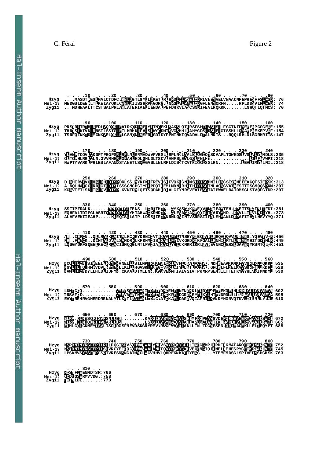#### C. Féral Figure 2

**R T V L S P F L A L V M Q S Q S E L W L R P E L G L LP QGI SI V SOHW, TWALY NU V SWIDK YOU LI KEGGMP LIKE OF THE MAT AROE TK BUAR KWIE : 752<br>L VR CYE TI Q QOHW, WALLANLT QWI BK YOKL VE QENG I Q ILNE LLEHES PYC <mark>E IKR TAR LWIE</mark> : 745<br>IVR ESN<mark>S</mark>NG AIM<mark>N CLIN</mark>GVH HVL QHR EK** P EKQ BL H R **:610 F D T D V M E V M E F . 5 9 0**  N COLTLON IS IE E ELEISOVRRVNELLIIS ILNP<mark>ITRODES LOR IP</mark> VHLONAL VCOVI . NDHKEAVC KMC EV VIMLKI I OK KU : 53<br>NGVLTLI C HMCVDVLJEMERLIKI ILINGVSKI EQEGE VOR IP I VILNTI A<u>GOVI</u> . GROKLFLGELG VISIWETI I IKD RU : 52 **E K MAT AROE TK E<br>LE HES PYC<u>E TK</u> R<br>FMDSG LSP IVE I KEG GMPILERD TIKM<br>QEN CIQ IL NELL EH<br>KG . . . . . YI EMFMD V Y P D K Y C P L V Y P E K Y C K L H R E K N K A P T**  QH WA T WAL Y NI V S V Y P<br>QH WA V WAL A <mark>NL</mark> T Q V Y P<br>I M WCL W GVH HVL QHR E **SPV SQHWA<br>T P Q CQHWA**<br>SNGA TMWC R N I N Y R S F E P I L R L L P Q G<br>R N I N Y R S F E P I L S <mark>I</mark> V R C Y<br>A MV S <mark>Y</mark> K S F I P F S R I V R E S **S S P**  QL M'I S Q F I S<br>RL MI Q B F I F<br>QL CKN EY I S **FI SVF SNLIES....**<br>FI EVFARILDS....<br>YI SVL ISCLDGSFNE ES . . . . . . . . . . KA<mark>DG IEV SYNA</mark>CGVI S<br>DS . . . . . . . . . L SDC IEV SYNA ACWIA<br>DG SFN EVD SKGR YRE VERSYF<sup>R</sup>ACTIA N ACG VI SHIMFD<br>NA AGVI AHIJA SD<br>FR ACI LANLL TN **H IMFDG PEANGVC<br>H I A SDG ADAWTIK<br>NLL TN . TDG YESE A MGVC E POREE VEERWWAA<br>A MTIK I RSREHVLERWVAA<br>GWESEN .ORDEACEKLLEL E RMWAAI OS<br>E RMVAAI OR<br>EKLLEI I EQ AAI CSWD L:<br>AAI CRWN L:<br>EL LEQY PT: W D I W N I Y P T :665 :688 MST MWN TDEFT**<br>L <mark>SA LWN</mark> L TDEC **WS<u>A L</u>WN I TDE T C TDE TPDNC**<br>TDE TAI NC <u>00 . .</u> . N C K R <mark>TI</mark> DG<br>T C K A TI DA **N C E MET NEN CMK**<br>N C K R F L DGR GME<br>T C K A F L DAG C V Q **F L NEN GAK LET DE<br>FL DGR GAE YEL KC**<br>FL DAGE VQ LAF R I **GMK LET DGL "BEPEKQ<br>GME YEL KCL HTEP DRD**<br>GVQ LAF RIL KABD YHG CL <sup>R</sup>EFP EKQ ELH<br>CL HTF PDRD ELL 20 P x Q <mark>E H 1 830<br>B B K Q E H RN M G L C N VA V 1 5 0 2<br>B B D RD B L RN M G L LG N A B V 4 : 5 9 5<br>B D Y HG N VQ T K V L C L L N N L G B V B : 6 1 0</mark> **M T R S V F D . . . . . . . .. . . . V A V A I K R D G R E Y L H T D R D L :595 E A Y T R E H R V G H E R D N E N A L Y T L K T L L T D E P A T K A D A G V Q I A F R I A D Y H G Q T K V I N L E**  . . . . 490 . . . . 500 . . . 500 . . . 510 . . . 520 . . . 530 . . 530 . . 540 . . 550 . . 550 . . . 560<br>CO<mark>RNICK SIREELENGURENELLE SINGURENE SINGUREN</mark> KANGUNIKAN KERANGKURENGUNIKAN PERITANGKUREN 1988.<br>CY<mark>RNIC</mark>C HMAVDVLEB  **. . . 6 5 0 . . . 6 6 0 . . . 6 7 0 . . . 6 8 0 . . . 6 9 0 . . . 7 0 0 . . . 7 1 0 . . . 7 2 0 . Q S N . . . . . . . . . K A S M F P E G V C E W S :672 . Q E A R . . . . . . . . . L S N A A S A D T I T V R H L K N E Y I C D G S F N E V D S K G R Y A A N L L T T D E S E N L Q**  NS REALLY 2001 - 1940 - 1950 - 1950 - 1960 - 1970 - 1980 - 1980 - 1980 - 1980 - 1980 - 1980 - 1980 - 1980 - 19<br>NS REALLY AND THE REALLY CONSTRUCT OF THE REAL PROPERTY OF THE REAL PROPERTY OF THE REAL PROPERTY OF THE PAST<br>L  **. . . . 1 0 . . . . 2 0 . . . . 3 0 . . . . 4 0 . . . . 5 0 . . . . 6 0 . . . . 7 0 . . . . 8 0 . . . . M A S D T P E S L M A L C T D F C L R N L D G T L G Y L L D K E T L R L H P D I F L P S E I C D R L V N E Y V E L V N A A C N F E P H E S F F S L F S D : 76 M E D G S L D E E P L T L K E I A Y Q K L C N N L D I I S S H R P D G Q R G . L N P G I V L P N E I C D G F L E N Y Q R F N . . . . . R P L D D S V I R L F E D : 74 . . . M D H N A A L T T C S T S A I P R L A R L A T E R I A E L I E N D A L P E F D H K V I A S C S N D I F E V L R Q K K K . . . . . . . L N H Q T L Q T M C S : 70 PRESCRIPT (1992) - 1992. - 1992. - 1992. - 1992. - 1992. - 1994. - 1994. - 1994. - 1994. - 1994. - 1994. - 199**<br>PRE<mark>RPTREPREDLIODOPER</mark>ALRKOLINE PLESTINGEKLEAKELOTIRSFSHIP VSESI.FGCTNIFNEBEN PGGCEPE:155<br>THRESEKIVNERNSTLSS  **. . . 1 7 0 . . . 1 8 0 . . . 1 9 0 . . . 2 0 0 . . . 2 1 0 . . . 2 2 0 . . . 2 3 0 . . . 2 4 0 Y L V N P T C Q V L V K D F T F E G F S R L R F L N L G R M I D W V P V E S L L R P L N S L A A L D L S G I Q T S D A A F L T Q W K D S L V S L V L Y N M D L S :235 Q L T C P H L R R L V L N . G V V M H H R L Q F A H L H D L G H L D L T S C V L A N F S L E A L G S L P N L H T . . . . . . . . . . . . . . . L I L F N V W P I :218 N W P T Y V A R K L P R L E S L A F A N R S T A N E T L S Q I G A S L L N L R F L D I S S T C V T D I S C I S S L R N . . . . . . . . . L E V L I M Y N L N I L :218**  . . . 250 . . . 260 . . . 270 . . . 280 . . . 280 . . . 290 . . . 300 . . . 310 . . . 320<br>D.BHIRVIVO HKARIADISRDRLSS. NYKFN TREVISIFVONIGNIMSIDISGHMILENCSISKMEEEAGOTSIERSK: 313<br>A.NOLHAICO RRICTIDISISSSGNGHGTYDI PDOTI EML  **. . . 3 3 0 . . . 3 4 0 . . . 3 5 0 . . . 3 6 0 . . . 3 7 0 . . . 3 8 0 . . . 3 9 0 . . . 4 0 0 S S I I P F R A L K . . . . . . . R P L Q F L G L F E N S . . L C R L T H I P . . A Y K V S G D K N E E Q V L N A I E A Y T E H . R P E I T S R A I N L L F D I :381 E Q H F A L T D I P G L A S R T Q R P L Q F L G L Y H T A H W A C K R H D I P . . A L E V A G D A N E Q Q I L T A A R Y Y H D . . R P V L L T R V L N D L Y H L :373 A L A F V E K I I E A H P . . . . . K L E Q I S L L A T P . L D S S L I E I P N R N L Q V I N T V S R R S I I F A L S H Y A N L D R P A F I T H A L H S V Y Y Q :371**  . . . . 410 . . . 420 . . . 430 . . . 430 . . . 450 . . . . . . . . 450 . . . 470 . . . . . . . . . . . . . . .<br>AR. . . ERICK . . OHERNEN HRENDRILKF KHMCHSORAHAR INSENSE OSVATAR ROVNAMENT LANGULES . YOR . . 456<br>ER. . FENCK **Hzyg Mei-1? Zyg11** COLTIGN S I E ELEHONREVNEL II S I LNP <mark>TRODES I OR IZ</mark>V HICNAL VCOVI . NDHK EAV GRAVE FUVILLK II QK KII : 535<br>GYLTLIC EINSVDV<u>LEBNER</u>L IKILIH GVSKLIBOEGE VOR IZ 1 YI LNTEAGOVI . GROKLFLGELIG VYSIWET II II KD RU : 528 **. <u>. . 4</u>90 <sub>.</sub> . <u>. 50</u>0 . . . 510 . . . 52<u>0 .</u> . . 530 . . . 54<u>0</u> . . . 550 . . . 560 EAV EKMEF Hzyg Mei-1? Zyg11** . . . . 570 . . . 580 . . . . 590 . . . . 600 . . . . 610 . . . . 620 . . . . 630 . . . . 640<br>LDK四C 2. . . . . . . . . . . . WABESWEAT INDETEDNE MEMELY NET DET BEE EXQET HRNNICHICANAEM : 602 . **. Hzyg Mei-1? Zyg11 Hzyg Mei-1? Zyg11 Hzyg Mei-1? Zyg11 Hzyg Mei-1? Zyg11 Hzyg Mei-1? Zyg11 Hzyg Mei-1? Zyg11 Hzyg Mei-1? Zyg11 Hzyg Mei-1? Zyg11 N V W L T I C N D Y L L H L D E I D F Y R T C K V A L D T M L L N R . D A S V E R M T I A I V S I V T P K M R P S E A K I T T E T K Y V Y H L V K I M N D Y L :530** 

**Hzyg**<br>**I** = 1: COD<br>yg11 **E** HH **Mei-1?** Zyg11 **HINLDT. N FKEE<br>S GSER**<br>NLDI . **H C** SN FK B E<br>Q ODS GS B R<br>H HN LD I **. . . 810 . .<br>CSNFK ENMDTSR:766<br>CDSGSERMVVDG .:758<br>IHNLDI .......:770**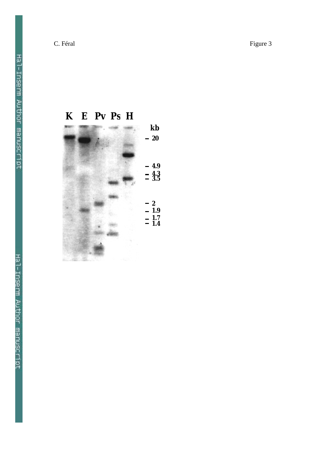C. Féral Figure 3

**K E Pv Ps H**  $-20$ **4.9 4.3 3.5 2 1.9 1.7 1.4 kb**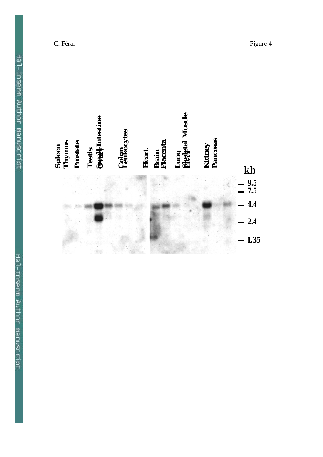| Spleen<br>Thymus<br>Prostate | <b>Sually</b> Intestine<br>Testis | <b>Colon</b><br>Leukocytes | Brain<br>Placenta<br>Heart | Lung<br>Bkeletal Muscle | Pancreas<br>Kidney |                |
|------------------------------|-----------------------------------|----------------------------|----------------------------|-------------------------|--------------------|----------------|
|                              |                                   |                            |                            |                         |                    | kb             |
|                              |                                   |                            |                            |                         |                    | $9.5$<br>$7.5$ |
|                              |                                   |                            |                            |                         |                    | 4.4            |
|                              |                                   |                            |                            |                         |                    | 2.4            |
|                              |                                   |                            |                            |                         |                    | 1.35           |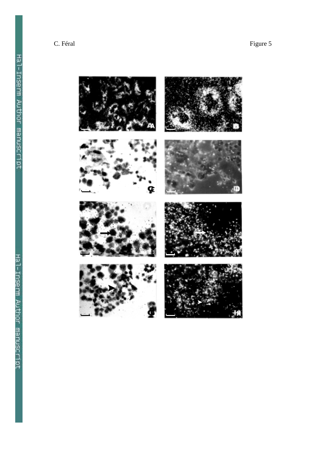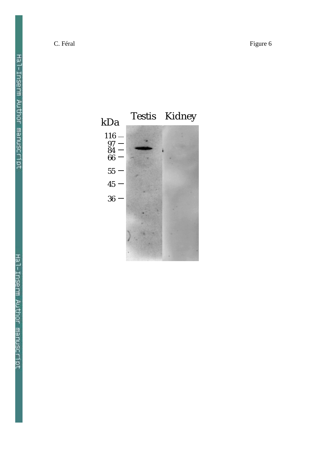